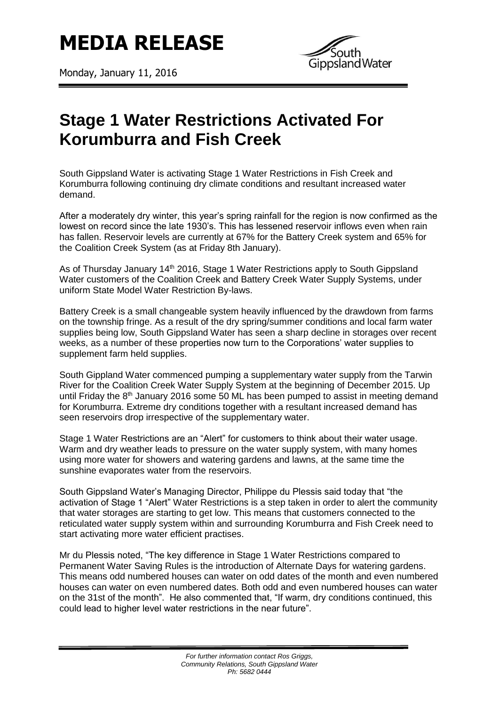

Monday, January 11, 2016



## **Stage 1 Water Restrictions Activated For Korumburra and Fish Creek**

South Gippsland Water is activating Stage 1 Water Restrictions in Fish Creek and Korumburra following continuing dry climate conditions and resultant increased water demand.

After a moderately dry winter, this year's spring rainfall for the region is now confirmed as the lowest on record since the late 1930's. This has lessened reservoir inflows even when rain has fallen. Reservoir levels are currently at 67% for the Battery Creek system and 65% for the Coalition Creek System (as at Friday 8th January).

As of Thursday January 14<sup>th</sup> 2016, Stage 1 Water Restrictions apply to South Gippsland Water customers of the Coalition Creek and Battery Creek Water Supply Systems, under uniform State Model Water Restriction By-laws.

Battery Creek is a small changeable system heavily influenced by the drawdown from farms on the township fringe. As a result of the dry spring/summer conditions and local farm water supplies being low, South Gippsland Water has seen a sharp decline in storages over recent weeks, as a number of these properties now turn to the Corporations' water supplies to supplement farm held supplies.

South Gippland Water commenced pumping a supplementary water supply from the Tarwin River for the Coalition Creek Water Supply System at the beginning of December 2015. Up until Friday the 8<sup>th</sup> January 2016 some 50 ML has been pumped to assist in meeting demand for Korumburra. Extreme dry conditions together with a resultant increased demand has seen reservoirs drop irrespective of the supplementary water.

Stage 1 Water Restrictions are an "Alert" for customers to think about their water usage. Warm and dry weather leads to pressure on the water supply system, with many homes using more water for showers and watering gardens and lawns, at the same time the sunshine evaporates water from the reservoirs.

South Gippsland Water's Managing Director, Philippe du Plessis said today that "the activation of Stage 1 "Alert" Water Restrictions is a step taken in order to alert the community that water storages are starting to get low. This means that customers connected to the reticulated water supply system within and surrounding Korumburra and Fish Creek need to start activating more water efficient practises.

Mr du Plessis noted, "The key difference in Stage 1 Water Restrictions compared to Permanent Water Saving Rules is the introduction of Alternate Days for watering gardens. This means odd numbered houses can water on odd dates of the month and even numbered houses can water on even numbered dates. Both odd and even numbered houses can water on the 31st of the month". He also commented that, "If warm, dry conditions continued, this could lead to higher level water restrictions in the near future".